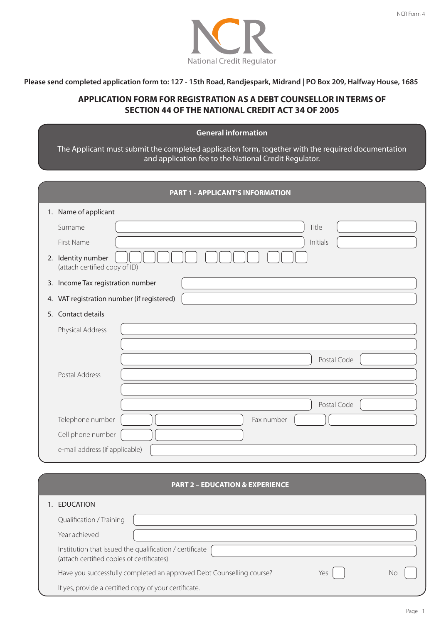

Please send completed application form to: 127 - 15th Road, Randjespark, Midrand | PO Box 209, Halfway House, 1685

# **APPLICATION FORM FOR REGISTRATION AS A DEBT COUNSELLOR IN TERMS OF SECTION 44 OF THE NATIONAL CREDIT ACT 34 OF 2005**

## **General information-**

The Applicant must submit the completed application form, together with the required documentation and application fee to the National Credit Regulator.

| <b>PART 1 - APPLICANT'S INFORMATION</b>                                                              |  |  |  |
|------------------------------------------------------------------------------------------------------|--|--|--|
| 1. Name of applicant                                                                                 |  |  |  |
| Title<br>Surname                                                                                     |  |  |  |
| First Name<br>Initials                                                                               |  |  |  |
| 2. Identity number<br>(attach certified copy of ID)                                                  |  |  |  |
| 3. Income Tax registration number                                                                    |  |  |  |
| 4. VAT registration number (if registered)                                                           |  |  |  |
| 5. Contact details                                                                                   |  |  |  |
| Physical Address                                                                                     |  |  |  |
|                                                                                                      |  |  |  |
| Postal Code                                                                                          |  |  |  |
| Postal Address                                                                                       |  |  |  |
|                                                                                                      |  |  |  |
| Postal Code<br>Fax number                                                                            |  |  |  |
| Telephone number<br>Cell phone number                                                                |  |  |  |
| e-mail address (if applicable)                                                                       |  |  |  |
|                                                                                                      |  |  |  |
|                                                                                                      |  |  |  |
| <b>PART 2 - EDUCATION &amp; EXPERIENCE</b>                                                           |  |  |  |
| 1. EDUCATION                                                                                         |  |  |  |
| Qualification / Training                                                                             |  |  |  |
| Year achieved                                                                                        |  |  |  |
| Institution that issued the qualification / certificate<br>(attach certified copies of certificates) |  |  |  |
| Have you successfully completed an approved Debt Counselling course?<br>Yes<br>No                    |  |  |  |

If yes, provide a certified copy of your certificate.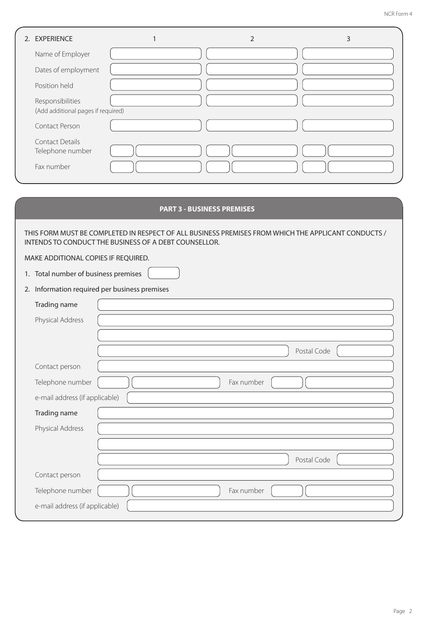| 2. EXPERIENCE                                          | フ | 3 |
|--------------------------------------------------------|---|---|
| Name of Employer                                       |   |   |
| Dates of employment                                    |   |   |
| Position held                                          |   |   |
| Responsibilities<br>(Add additional pages if required) |   |   |
| Contact Person                                         |   |   |
| <b>Contact Details</b><br>Telephone number             |   |   |
| Fax number                                             |   |   |

### **PART 3 - BUSINESS PREMISES**

THIS FORM MUST BE COMPLETED IN RESPECT OF ALL BUSINESS PREMISES FROM WHICH THE APPLICANT CONDUCTS / INTENDS TO CONDUCT THE BUSINESS OF A DEBT COUNSELLOR.

MAKE ADDITIONAL COPIES IF REQUIRED.

|  |  |  |  | 1. Total number of business premises |  |
|--|--|--|--|--------------------------------------|--|
|--|--|--|--|--------------------------------------|--|

2. Information required per business premises

| Trading name                   |             |
|--------------------------------|-------------|
|                                |             |
| Physical Address               |             |
|                                |             |
|                                | Postal Code |
| Contact person                 |             |
| Telephone number               | Fax number  |
| e-mail address (if applicable) |             |
| Trading name                   |             |
| Physical Address               |             |
|                                |             |
|                                | Postal Code |
| Contact person                 |             |
| Telephone number               | Fax number  |
| e-mail address (if applicable) |             |
|                                |             |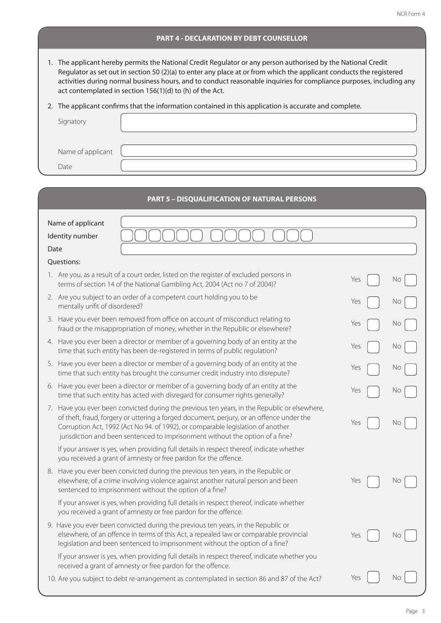#### **PART 4 - DECLARATION BY DEBT COUNSELLOR**

1. The applicant hereby permits the National Credit Regulator or any person authorised by the National Credit Regulator as set out in section 50 (2)(a) to enter any place at or from which the applicant conducts the registered activities during normal business hours, and to conduct reasonable inquiries for compliance purposes, including any act contemplated in section 156(1)(d) to (h) of the Act.

#### 2. The applicant confirms that the information contained in this application is accurate and complete.

| Signatory         |  |
|-------------------|--|
|                   |  |
| Name of applicant |  |
| Date              |  |

| <b>PART 5 - DISQUALIFICATION OF NATURAL PERSONS</b>                                                                                                                                                                                                                                                                                                          |     |     |
|--------------------------------------------------------------------------------------------------------------------------------------------------------------------------------------------------------------------------------------------------------------------------------------------------------------------------------------------------------------|-----|-----|
| Name of applicant<br>Identity number<br>Date                                                                                                                                                                                                                                                                                                                 |     |     |
| Questions:                                                                                                                                                                                                                                                                                                                                                   |     |     |
| 1. Are you, as a result of a court order, listed on the register of excluded persons in<br>terms of section 14 of the National Gambling Act, 2004 (Act no 7 of 2004)?                                                                                                                                                                                        | Yes | Νo  |
| 2. Are you subject to an order of a competent court holding you to be<br>mentally unfit of disordered?                                                                                                                                                                                                                                                       | Yes | No  |
| 3. Have you ever been removed from office on account of misconduct relating to<br>fraud or the misappropriation of money, whether in the Republic or elsewhere?                                                                                                                                                                                              | Yes | No. |
| 4. Have you ever been a director or member of a governing body of an entity at the<br>time that such entity has been de-registered in terms of public regulation?                                                                                                                                                                                            | Yes | No. |
| 5. Have you ever been a director or member of a governing body of an entity at the<br>time that such entity has brought the consumer credit industry into disrepute?                                                                                                                                                                                         | Yes | No. |
| 6. Have you ever been a director or member of a governing body of an entity at the<br>time that such entity has acted with disregard for consumer rights generally?                                                                                                                                                                                          | Yes | N0  |
| 7. Have you ever been convicted during the previous ten years, in the Republic or elsewhere,<br>of theft, fraud, forgery or uttering a forged document, perjury, or an offence under the<br>Corruption Act, 1992 (Act No 94. of 1992), or comparable legislation of another<br>jurisdiction and been sentenced to imprisonment without the option of a fine? | Yes | No. |
| If your answer is yes, when providing full details in respect thereof, indicate whether<br>you received a grant of amnesty or free pardon for the offence.                                                                                                                                                                                                   |     |     |
| 8. Have you ever been convicted during the previous ten years, in the Republic or<br>elsewhere, of a crime involving violence against another natural person and been<br>sentenced to imprisonment without the option of a fine?                                                                                                                             | Yes | N0  |
| If your answer is yes, when providing full details in respect thereof, indicate whether<br>you received a grant of amnesty or free pardon for the offence.                                                                                                                                                                                                   |     |     |
| 9. Have you ever been convicted during the previous ten years, in the Republic or<br>elsewhere, of an offence in terms of this Act, a repealed law or comparable provincial<br>legislation and been sentenced to imprisonment without the option of a fine?                                                                                                  | Yes | No. |
| If your answer is yes, when providing full details in respect thereof, indicate whether you<br>received a grant of amnesty or free pardon for the offence.                                                                                                                                                                                                   |     |     |
| 10. Are you subject to debt re-arrangement as contemplated in section 86 and 87 of the Act?                                                                                                                                                                                                                                                                  | Yes | No. |